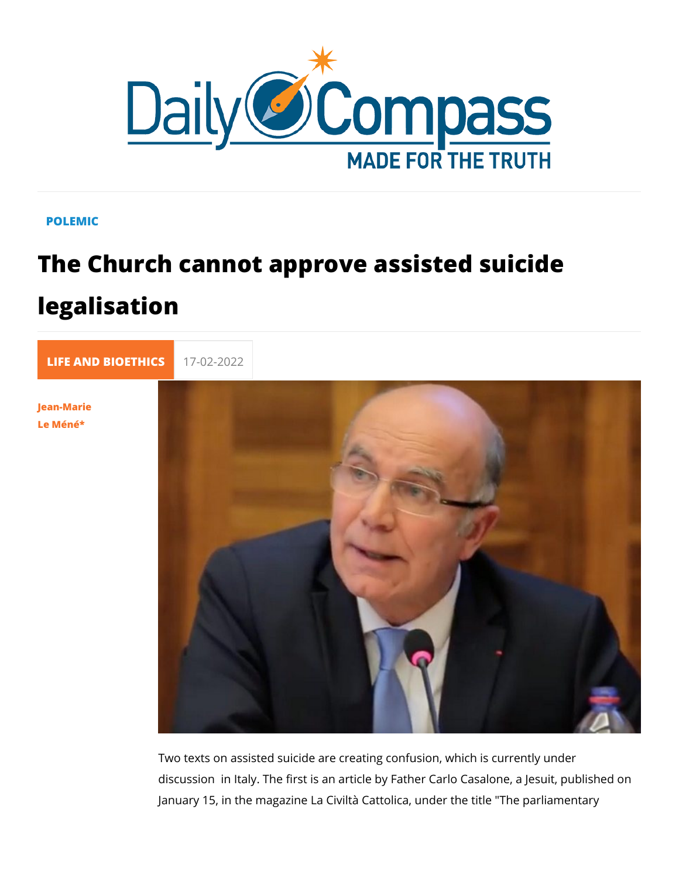## POLEMIC

## The Church cannot approve assisted su legalisation

[LIFE AND BIOE](https://newdailycompass.com/en/life-and-bioethics) 17-02-2022

[Jean-Ma](/en/jean-marie-le-mene)rie [Le Mén](/en/jean-marie-le-mene)é\*

> Two texts on assisted suicide are creating confusion, which is discussion in Italy. The first is an article by Father Carlo Cas January 15, in the magazine La Civiltà Cattolica, under the tit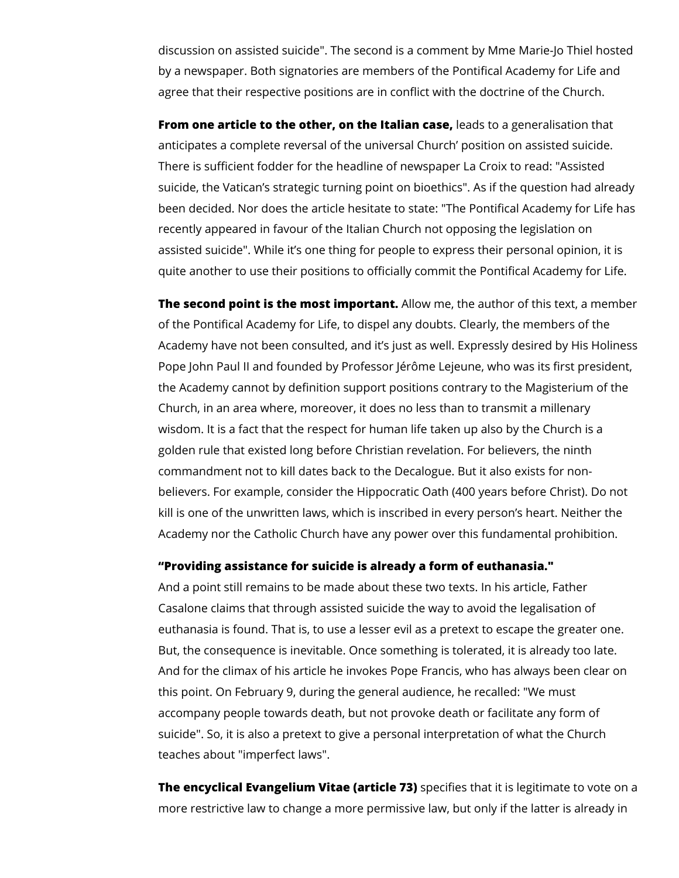discussion on assisted suicide". The second is a comment by Mme Marie-Jo Thiel hosted by a newspaper. Both signatories are members of the Pontifical Academy for Life and agree that their respective positions are in conflict with the doctrine of the Church.

**From one article to the other, on the Italian case,** leads to a generalisation that anticipates a complete reversal of the universal Church' position on assisted suicide. There is sufficient fodder for the headline of newspaper La Croix to read: "Assisted suicide, the Vatican's strategic turning point on bioethics". As if the question had already been decided. Nor does the article hesitate to state: "The Pontifical Academy for Life has recently appeared in favour of the Italian Church not opposing the legislation on assisted suicide". While it's one thing for people to express their personal opinion, it is quite another to use their positions to officially commit the Pontifical Academy for Life.

**The second point is the most important.** Allow me, the author of this text, a member of the Pontifical Academy for Life, to dispel any doubts. Clearly, the members of the Academy have not been consulted, and it's just as well. Expressly desired by His Holiness Pope John Paul II and founded by Professor Jérôme Lejeune, who was its first president, the Academy cannot by definition support positions contrary to the Magisterium of the Church, in an area where, moreover, it does no less than to transmit a millenary wisdom. It is a fact that the respect for human life taken up also by the Church is a golden rule that existed long before Christian revelation. For believers, the ninth commandment not to kill dates back to the Decalogue. But it also exists for nonbelievers. For example, consider the Hippocratic Oath (400 years before Christ). Do not kill is one of the unwritten laws, which is inscribed in every person's heart. Neither the Academy nor the Catholic Church have any power over this fundamental prohibition.

## **"Providing assistance for suicide is already a form of euthanasia."**

And a point still remains to be made about these two texts. In his article, Father Casalone claims that through assisted suicide the way to avoid the legalisation of euthanasia is found. That is, to use a lesser evil as a pretext to escape the greater one. But, the consequence is inevitable. Once something is tolerated, it is already too late. And for the climax of his article he invokes Pope Francis, who has always been clear on this point. On February 9, during the general audience, he recalled: "We must accompany people towards death, but not provoke death or facilitate any form of suicide". So, it is also a pretext to give a personal interpretation of what the Church teaches about "imperfect laws".

**The encyclical Evangelium Vitae (article 73)** specifies that it is legitimate to vote on a more restrictive law to change a more permissive law, but only if the latter is already in